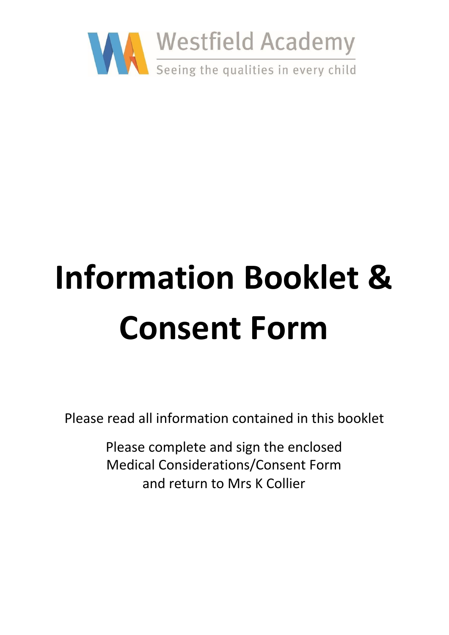

# **Information Booklet & Consent Form**

Please read all information contained in this booklet

Please complete and sign the enclosed Medical Considerations/Consent Form and return to Mrs K Collier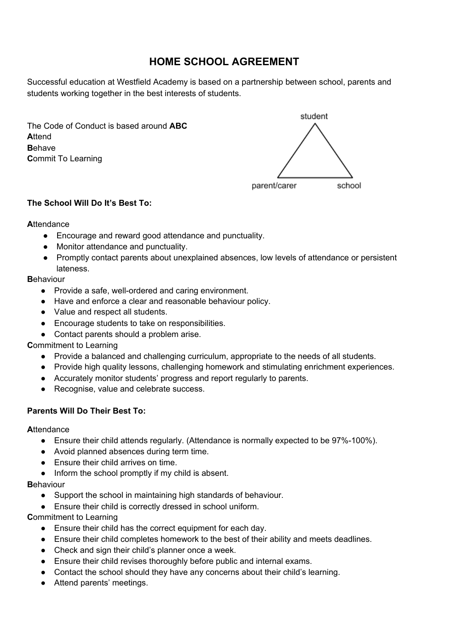# **HOME SCHOOL AGREEMENT**

Successful education at Westfield Academy is based on a partnership between school, parents and students working together in the best interests of students.

The Code of Conduct is based around **ABC A**ttend **B**ehave **C**ommit To Learning



# **The School Will Do It's Best To:**

#### **A**ttendance

- Encourage and reward good attendance and punctuality.
- Monitor attendance and punctuality.
- Promptly contact parents about unexplained absences, low levels of attendance or persistent lateness.

# **B**ehaviour

- Provide a safe, well-ordered and caring environment.
- Have and enforce a clear and reasonable behaviour policy.
- Value and respect all students.
- Encourage students to take on responsibilities.
- Contact parents should a problem arise.

# **C**ommitment to Learning

- Provide a balanced and challenging curriculum, appropriate to the needs of all students.
- Provide high quality lessons, challenging homework and stimulating enrichment experiences.
- Accurately monitor students' progress and report regularly to parents.
- Recognise, value and celebrate success.

# **Parents Will Do Their Best To:**

# **A**ttendance

- Ensure their child attends regularly. (Attendance is normally expected to be 97%-100%).
- Avoid planned absences during term time.
- Ensure their child arrives on time.
- Inform the school promptly if my child is absent.

# **B**ehaviour

- Support the school in maintaining high standards of behaviour.
- Ensure their child is correctly dressed in school uniform.

# **C**ommitment to Learning

- Ensure their child has the correct equipment for each day.
- Ensure their child completes homework to the best of their ability and meets deadlines.
- Check and sign their child's planner once a week.
- Ensure their child revises thoroughly before public and internal exams.
- Contact the school should they have any concerns about their child's learning.
- Attend parents' meetings.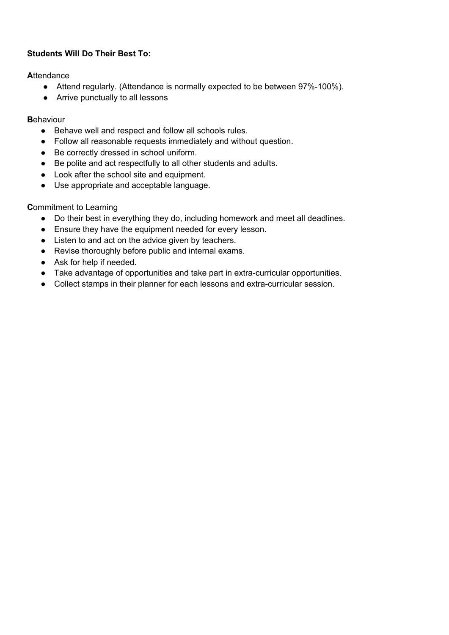# **Students Will Do Their Best To:**

**A**ttendance

- Attend regularly. (Attendance is normally expected to be between 97%-100%).
- Arrive punctually to all lessons

**B**ehaviour

- Behave well and respect and follow all schools rules.
- Follow all reasonable requests immediately and without question.
- Be correctly dressed in school uniform.
- Be polite and act respectfully to all other students and adults.
- Look after the school site and equipment.
- Use appropriate and acceptable language.

**C**ommitment to Learning

- Do their best in everything they do, including homework and meet all deadlines.
- Ensure they have the equipment needed for every lesson.
- Listen to and act on the advice given by teachers.
- Revise thoroughly before public and internal exams.
- Ask for help if needed.
- Take advantage of opportunities and take part in extra-curricular opportunities.
- Collect stamps in their planner for each lessons and extra-curricular session.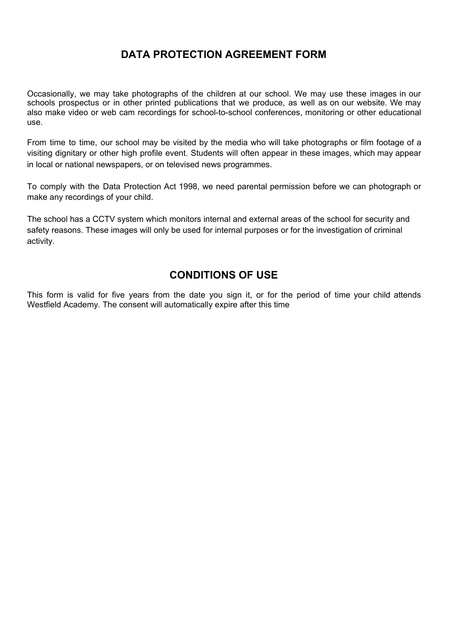# **DATA PROTECTION AGREEMENT FORM**

Occasionally, we may take photographs of the children at our school. We may use these images in our schools prospectus or in other printed publications that we produce, as well as on our website. We may also make video or web cam recordings for school-to-school conferences, monitoring or other educational use.

From time to time, our school may be visited by the media who will take photographs or film footage of a visiting dignitary or other high profile event. Students will often appear in these images, which may appear in local or national newspapers, or on televised news programmes.

To comply with the Data Protection Act 1998, we need parental permission before we can photograph or make any recordings of your child.

The school has a CCTV system which monitors internal and external areas of the school for security and safety reasons. These images will only be used for internal purposes or for the investigation of criminal activity.

# **CONDITIONS OF USE**

This form is valid for five years from the date you sign it, or for the period of time your child attends Westfield Academy. The consent will automatically expire after this time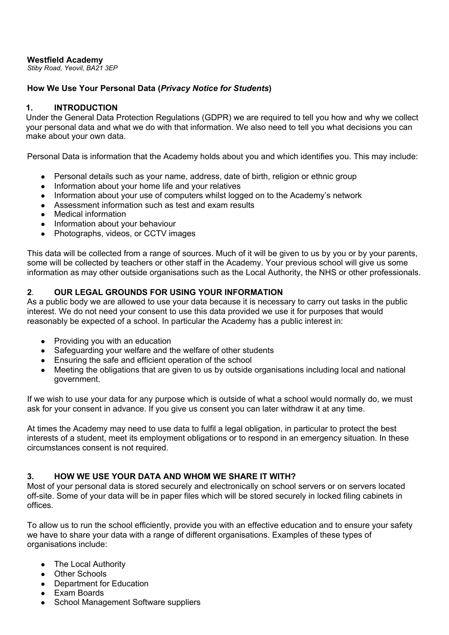#### **Westfield Academy**

*Stiby Road, Yeovil, BA21 3EP*

## **How We Use Your Personal Data (***Privacy Notice for Students***)**

## **1. INTRODUCTION**

Under the General Data Protection Regulations (GDPR) we are required to tell you how and why we collect your personal data and what we do with that information. We also need to tell you what decisions you can make about your own data.

Personal Data is information that the Academy holds about you and which identifies you. This may include:

- Personal details such as your name, address, date of birth, religion or ethnic group
- Information about your home life and your relatives
- Information about your use of computers whilst logged on to the Academy's network
- Assessment information such as test and exam results
- Medical information
- Information about your behaviour
- Photographs, videos, or CCTV images

This data will be collected from a range of sources. Much of it will be given to us by you or by your parents, some will be collected by teachers or other staff in the Academy. Your previous school will give us some information as may other outside organisations such as the Local Authority, the NHS or other professionals.

# **2**. **OUR LEGAL GROUNDS FOR USING YOUR INFORMATION**

As a public body we are allowed to use your data because it is necessary to carry out tasks in the public interest. We do not need your consent to use this data provided we use it for purposes that would reasonably be expected of a school. In particular the Academy has a public interest in:

- Providing you with an education
- Safeguarding your welfare and the welfare of other students
- Ensuring the safe and efficient operation of the school
- Meeting the obligations that are given to us by outside organisations including local and national government.

If we wish to use your data for any purpose which is outside of what a school would normally do, we must ask for your consent in advance. If you give us consent you can later withdraw it at any time.

At times the Academy may need to use data to fulfil a legal obligation, in particular to protect the best interests of a student, meet its employment obligations or to respond in an emergency situation. In these circumstances consent is not required.

#### **3. HOW WE USE YOUR DATA AND WHOM WE SHARE IT WITH?**

Most of your personal data is stored securely and electronically on school servers or on servers located off-site. Some of your data will be in paper files which will be stored securely in locked filing cabinets in offices.

To allow us to run the school efficiently, provide you with an effective education and to ensure your safety we have to share your data with a range of different organisations. Examples of these types of organisations include:

- The Local Authority
- Other Schools
- Department for Education
- Exam Boards
- School Management Software suppliers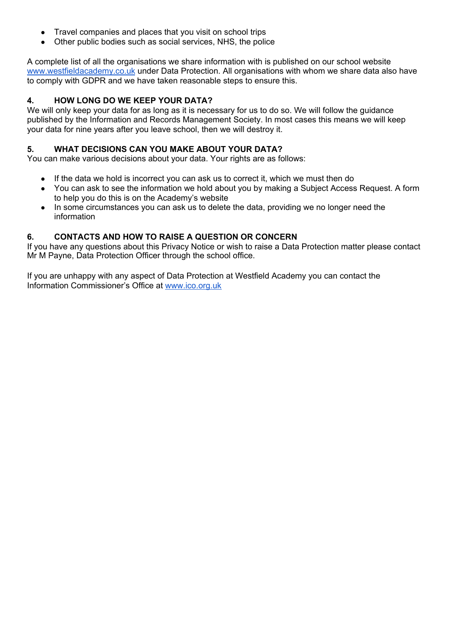- Travel companies and places that you visit on school trips
- Other public bodies such as social services, NHS, the police

A complete list of all the organisations we share information with is published on our school website [www.westfieldacademy.co.uk](http://www.westfieldacademy.co.uk/) under Data Protection. All organisations with whom we share data also have to comply with GDPR and we have taken reasonable steps to ensure this.

## **4. HOW LONG DO WE KEEP YOUR DATA?**

We will only keep your data for as long as it is necessary for us to do so. We will follow the guidance published by the Information and Records Management Society. In most cases this means we will keep your data for nine years after you leave school, then we will destroy it.

#### **5. WHAT DECISIONS CAN YOU MAKE ABOUT YOUR DATA?**

You can make various decisions about your data. Your rights are as follows:

- If the data we hold is incorrect you can ask us to correct it, which we must then do
- You can ask to see the information we hold about you by making a Subject Access Request. A form to help you do this is on the Academy's website
- In some circumstances you can ask us to delete the data, providing we no longer need the information

#### **6. CONTACTS AND HOW TO RAISE A QUESTION OR CONCERN**

If you have any questions about this Privacy Notice or wish to raise a Data Protection matter please contact Mr M Payne, Data Protection Officer through the school office.

If you are unhappy with any aspect of Data Protection at Westfield Academy you can contact the Information Commissioner's Office at [www.ico.org.uk](http://www.ico.org.uk/)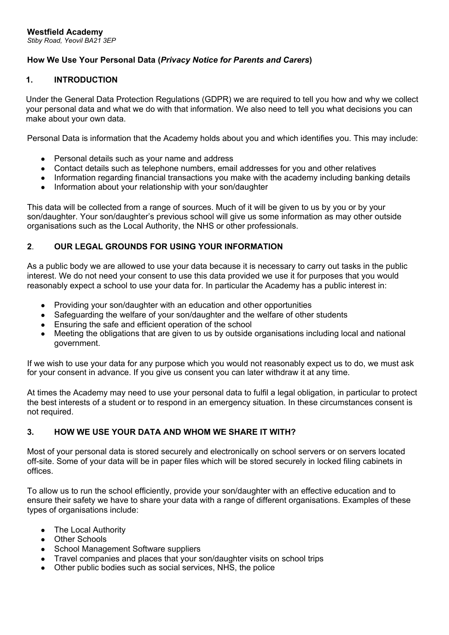# **How We Use Your Personal Data (***Privacy Notice for Parents and Carers***)**

## **1. INTRODUCTION**

Under the General Data Protection Regulations (GDPR) we are required to tell you how and why we collect your personal data and what we do with that information. We also need to tell you what decisions you can make about your own data.

Personal Data is information that the Academy holds about you and which identifies you. This may include:

- Personal details such as your name and address
- Contact details such as telephone numbers, email addresses for you and other relatives
- Information regarding financial transactions you make with the academy including banking details
- Information about your relationship with your son/daughter

This data will be collected from a range of sources. Much of it will be given to us by you or by your son/daughter. Your son/daughter's previous school will give us some information as may other outside organisations such as the Local Authority, the NHS or other professionals.

#### **2**. **OUR LEGAL GROUNDS FOR USING YOUR INFORMATION**

As a public body we are allowed to use your data because it is necessary to carry out tasks in the public interest. We do not need your consent to use this data provided we use it for purposes that you would reasonably expect a school to use your data for. In particular the Academy has a public interest in:

- Providing your son/daughter with an education and other opportunities
- Safeguarding the welfare of your son/daughter and the welfare of other students
- Ensuring the safe and efficient operation of the school
- Meeting the obligations that are given to us by outside organisations including local and national government.

If we wish to use your data for any purpose which you would not reasonably expect us to do, we must ask for your consent in advance. If you give us consent you can later withdraw it at any time.

At times the Academy may need to use your personal data to fulfil a legal obligation, in particular to protect the best interests of a student or to respond in an emergency situation. In these circumstances consent is not required.

#### **3. HOW WE USE YOUR DATA AND WHOM WE SHARE IT WITH?**

Most of your personal data is stored securely and electronically on school servers or on servers located off-site. Some of your data will be in paper files which will be stored securely in locked filing cabinets in offices.

To allow us to run the school efficiently, provide your son/daughter with an effective education and to ensure their safety we have to share your data with a range of different organisations. Examples of these types of organisations include:

- The Local Authority
- Other Schools
- School Management Software suppliers
- Travel companies and places that your son/daughter visits on school trips
- Other public bodies such as social services, NHS, the police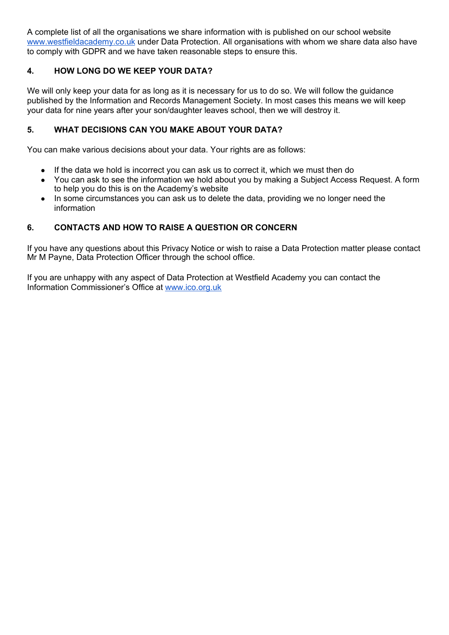A complete list of all the organisations we share information with is published on our school website [www.westfieldacademy.co.uk](http://www.westfieldacademy.co.uk/) under Data Protection. All organisations with whom we share data also have to comply with GDPR and we have taken reasonable steps to ensure this.

# **4. HOW LONG DO WE KEEP YOUR DATA?**

We will only keep your data for as long as it is necessary for us to do so. We will follow the guidance published by the Information and Records Management Society. In most cases this means we will keep your data for nine years after your son/daughter leaves school, then we will destroy it.

# **5. WHAT DECISIONS CAN YOU MAKE ABOUT YOUR DATA?**

You can make various decisions about your data. Your rights are as follows:

- If the data we hold is incorrect you can ask us to correct it, which we must then do
- You can ask to see the information we hold about you by making a Subject Access Request. A form to help you do this is on the Academy's website
- In some circumstances you can ask us to delete the data, providing we no longer need the information

#### **6. CONTACTS AND HOW TO RAISE A QUESTION OR CONCERN**

If you have any questions about this Privacy Notice or wish to raise a Data Protection matter please contact Mr M Payne, Data Protection Officer through the school office.

If you are unhappy with any aspect of Data Protection at Westfield Academy you can contact the Information Commissioner's Office at [www.ico.org.uk](http://www.ico.org.uk/)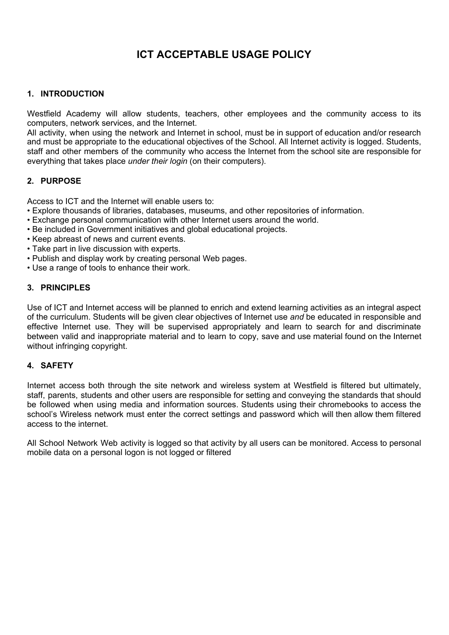# **ICT ACCEPTABLE USAGE POLICY**

#### **1. INTRODUCTION**

Westfield Academy will allow students, teachers, other employees and the community access to its computers, network services, and the Internet.

All activity, when using the network and Internet in school, must be in support of education and/or research and must be appropriate to the educational objectives of the School. All Internet activity is logged. Students, staff and other members of the community who access the Internet from the school site are responsible for everything that takes place *under their login* (on their computers).

#### **2. PURPOSE**

Access to ICT and the Internet will enable users to:

- Explore thousands of libraries, databases, museums, and other repositories of information.
- Exchange personal communication with other Internet users around the world.
- Be included in Government initiatives and global educational projects.
- Keep abreast of news and current events.
- Take part in live discussion with experts.
- Publish and display work by creating personal Web pages.
- Use a range of tools to enhance their work.

#### **3. PRINCIPLES**

Use of ICT and Internet access will be planned to enrich and extend learning activities as an integral aspect of the curriculum. Students will be given clear objectives of Internet use *and* be educated in responsible and effective Internet use. They will be supervised appropriately and learn to search for and discriminate between valid and inappropriate material and to learn to copy, save and use material found on the Internet without infringing copyright.

#### **4. SAFETY**

Internet access both through the site network and wireless system at Westfield is filtered but ultimately, staff, parents, students and other users are responsible for setting and conveying the standards that should be followed when using media and information sources. Students using their chromebooks to access the school's Wireless network must enter the correct settings and password which will then allow them filtered access to the internet.

All School Network Web activity is logged so that activity by all users can be monitored. Access to personal mobile data on a personal logon is not logged or filtered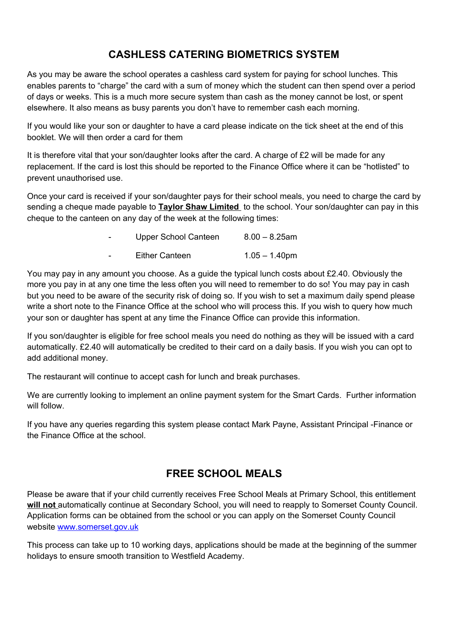# **CASHLESS CATERING BIOMETRICS SYSTEM**

As you may be aware the school operates a cashless card system for paying for school lunches. This enables parents to "charge" the card with a sum of money which the student can then spend over a period of days or weeks. This is a much more secure system than cash as the money cannot be lost, or spent elsewhere. It also means as busy parents you don't have to remember cash each morning.

If you would like your son or daughter to have a card please indicate on the tick sheet at the end of this booklet. We will then order a card for them

It is therefore vital that your son/daughter looks after the card. A charge of £2 will be made for any replacement. If the card is lost this should be reported to the Finance Office where it can be "hotlisted" to prevent unauthorised use.

Once your card is received if your son/daughter pays for their school meals, you need to charge the card by sending a cheque made payable to **Taylor Shaw Limited** to the school. Your son/daughter can pay in this cheque to the canteen on any day of the week at the following times:

| - | Upper School Canteen | $8.00 - 8.25$ am |
|---|----------------------|------------------|
| - | Either Canteen       | $1.05 - 1.40$ pm |

You may pay in any amount you choose. As a guide the typical lunch costs about £2.40. Obviously the more you pay in at any one time the less often you will need to remember to do so! You may pay in cash but you need to be aware of the security risk of doing so. If you wish to set a maximum daily spend please write a short note to the Finance Office at the school who will process this. If you wish to query how much your son or daughter has spent at any time the Finance Office can provide this information.

If you son/daughter is eligible for free school meals you need do nothing as they will be issued with a card automatically. £2.40 will automatically be credited to their card on a daily basis. If you wish you can opt to add additional money.

The restaurant will continue to accept cash for lunch and break purchases.

We are currently looking to implement an online payment system for the Smart Cards. Further information will follow.

If you have any queries regarding this system please contact Mark Payne, Assistant Principal -Finance or the Finance Office at the school.

# **FREE SCHOOL MEALS**

Please be aware that if your child currently receives Free School Meals at Primary School, this entitlement **will not** automatically continue at Secondary School, you will need to reapply to Somerset County Council. Application forms can be obtained from the school or you can apply on the Somerset County Council website [www.somerset.gov.uk](http://www.somerset.gov.uk/)

This process can take up to 10 working days, applications should be made at the beginning of the summer holidays to ensure smooth transition to Westfield Academy.